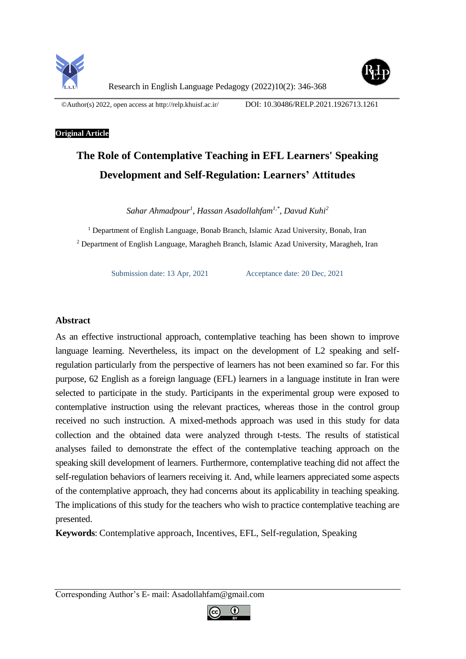



Research in English Language Pedagogy (2022)10(2): 346-368

©Author(s) 2022, open access a[t http://relp.khuisf.ac.ir/](http://relp.khuisf.ac.ir/) DOI: 10.30486/RELP.2021.1926713.1261

## **Original Article**

# **The Role of Contemplative Teaching in EFL Learners' Speaking Development and Self-Regulation: Learners' Attitudes**

*Sahar Ahmadpour<sup>1</sup> , Hassan Asadollahfam1,\*, Davud Kuhi<sup>2</sup>*

<sup>1</sup> Department of English Language, Bonab Branch, Islamic Azad University, Bonab, Iran <sup>2</sup> Department of English Language, Maragheh Branch, Islamic Azad University, Maragheh, Iran

Submission date: 13 Apr, 2021 Acceptance date: 20 Dec, 2021

# **Abstract**

As an effective instructional approach, contemplative teaching has been shown to improve language learning. Nevertheless, its impact on the development of L2 speaking and selfregulation particularly from the perspective of learners has not been examined so far. For this purpose, 62 English as a foreign language (EFL) learners in a language institute in Iran were selected to participate in the study. Participants in the experimental group were exposed to contemplative instruction using the relevant practices, whereas those in the control group received no such instruction. A mixed-methods approach was used in this study for data collection and the obtained data were analyzed through t-tests. The results of statistical analyses failed to demonstrate the effect of the contemplative teaching approach on the speaking skill development of learners. Furthermore, contemplative teaching did not affect the self-regulation behaviors of learners receiving it. And, while learners appreciated some aspects of the contemplative approach, they had concerns about its applicability in teaching speaking. The implications of this study for the teachers who wish to practice contemplative teaching are presented.

**Keywords**: Contemplative approach, Incentives, EFL, Self-regulation, Speaking

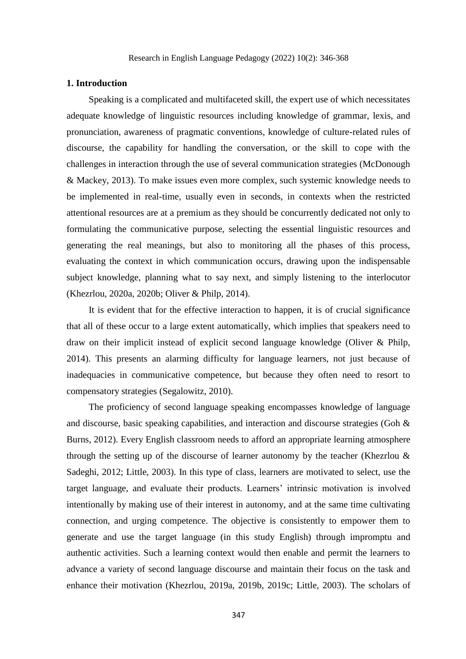#### **1. Introduction**

Speaking is a complicated and multifaceted skill, the expert use of which necessitates adequate knowledge of linguistic resources including knowledge of grammar, lexis, and pronunciation, awareness of pragmatic conventions, knowledge of culture-related rules of discourse, the capability for handling the conversation, or the skill to cope with the challenges in interaction through the use of several communication strategies (McDonough & Mackey, 2013). To make issues even more complex, such systemic knowledge needs to be implemented in real-time, usually even in seconds, in contexts when the restricted attentional resources are at a premium as they should be concurrently dedicated not only to formulating the communicative purpose, selecting the essential linguistic resources and generating the real meanings, but also to monitoring all the phases of this process, evaluating the context in which communication occurs, drawing upon the indispensable subject knowledge, planning what to say next, and simply listening to the interlocutor (Khezrlou, 2020a, 2020b; Oliver & Philp, 2014).

It is evident that for the effective interaction to happen, it is of crucial significance that all of these occur to a large extent automatically, which implies that speakers need to draw on their implicit instead of explicit second language knowledge (Oliver & Philp, 2014). This presents an alarming difficulty for language learners, not just because of inadequacies in communicative competence, but because they often need to resort to compensatory strategies (Segalowitz, 2010).

The proficiency of second language speaking encompasses knowledge of language and discourse, basic speaking capabilities, and interaction and discourse strategies (Goh & Burns, 2012). Every English classroom needs to afford an appropriate learning atmosphere through the setting up of the discourse of learner autonomy by the teacher (Khezrlou & Sadeghi, 2012; Little, 2003). In this type of class, learners are motivated to select, use the target language, and evaluate their products. Learners' intrinsic motivation is involved intentionally by making use of their interest in autonomy, and at the same time cultivating connection, and urging competence. The objective is consistently to empower them to generate and use the target language (in this study English) through impromptu and authentic activities. Such a learning context would then enable and permit the learners to advance a variety of second language discourse and maintain their focus on the task and enhance their motivation (Khezrlou, 2019a, 2019b, 2019c; Little, 2003). The scholars of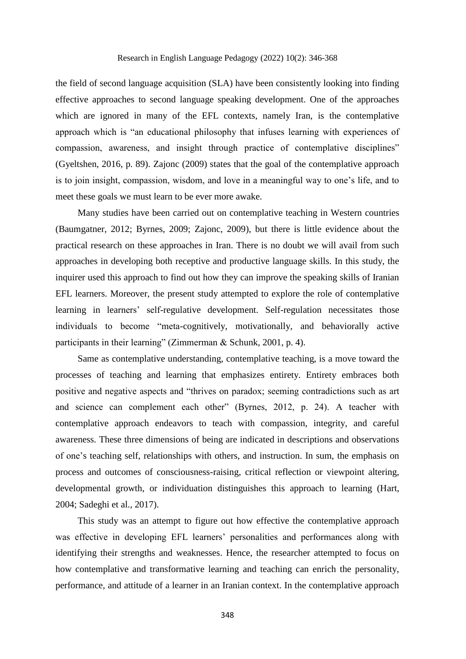the field of second language acquisition (SLA) have been consistently looking into finding effective approaches to second language speaking development. One of the approaches which are ignored in many of the EFL contexts, namely Iran, is the contemplative approach which is "an educational philosophy that infuses learning with experiences of compassion, awareness, and insight through practice of contemplative disciplines" (Gyeltshen, 2016, p. 89). Zajonc (2009) states that the goal of the contemplative approach is to join insight, compassion, wisdom, and love in a meaningful way to one's life, and to meet these goals we must learn to be ever more awake.

Many studies have been carried out on contemplative teaching in Western countries (Baumgatner, 2012; Byrnes, 2009; Zajonc, 2009), but there is little evidence about the practical research on these approaches in Iran. There is no doubt we will avail from such approaches in developing both receptive and productive language skills. In this study, the inquirer used this approach to find out how they can improve the speaking skills of Iranian EFL learners. Moreover, the present study attempted to explore the role of contemplative learning in learners' self-regulative development. Self-regulation necessitates those individuals to become "meta-cognitively, motivationally, and behaviorally active participants in their learning" (Zimmerman & Schunk, 2001, p. 4).

Same as contemplative understanding, contemplative teaching, is a move toward the processes of teaching and learning that emphasizes entirety. Entirety embraces both positive and negative aspects and "thrives on paradox; seeming contradictions such as art and science can complement each other" (Byrnes, 2012, p. 24). A teacher with contemplative approach endeavors to teach with compassion, integrity, and careful awareness. These three dimensions of being are indicated in descriptions and observations of one's teaching self, relationships with others, and instruction. In sum, the emphasis on process and outcomes of consciousness-raising, critical reflection or viewpoint altering, developmental growth, or individuation distinguishes this approach to learning (Hart, 2004; Sadeghi et al., 2017).

This study was an attempt to figure out how effective the contemplative approach was effective in developing EFL learners' personalities and performances along with identifying their strengths and weaknesses. Hence, the researcher attempted to focus on how contemplative and transformative learning and teaching can enrich the personality, performance, and attitude of a learner in an Iranian context. In the contemplative approach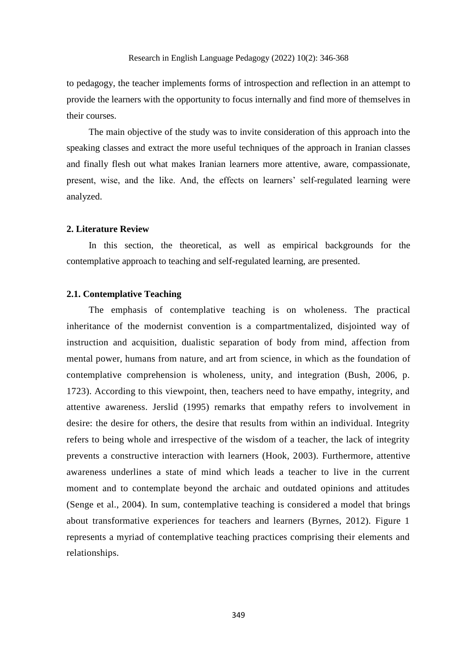to pedagogy, the teacher implements forms of introspection and reflection in an attempt to provide the learners with the opportunity to focus internally and find more of themselves in their courses.

The main objective of the study was to invite consideration of this approach into the speaking classes and extract the more useful techniques of the approach in Iranian classes and finally flesh out what makes Iranian learners more attentive, aware, compassionate, present, wise, and the like. And, the effects on learners' self-regulated learning were analyzed.

# **2. Literature Review**

In this section, the theoretical, as well as empirical backgrounds for the contemplative approach to teaching and self-regulated learning, are presented.

#### **2.1. Contemplative Teaching**

The emphasis of contemplative teaching is on wholeness. The practical inheritance of the modernist convention is a compartmentalized, disjointed way of instruction and acquisition, dualistic separation of body from mind, affection from mental power, humans from nature, and art from science, in which as the foundation of contemplative comprehension is wholeness, unity, and integration (Bush, 2006, p. 1723). According to this viewpoint, then, teachers need to have empathy, integrity, and attentive awareness. Jerslid (1995) remarks that empathy refers to involvement in desire: the desire for others, the desire that results from within an individual. Integrity refers to being whole and irrespective of the wisdom of a teacher, the lack of integrity prevents a constructive interaction with learners (Hook, 2003). Furthermore, attentive awareness underlines a state of mind which leads a teacher to live in the current moment and to contemplate beyond the archaic and outdated opinions and attitudes (Senge et al., 2004). In sum, contemplative teaching is considered a model that brings about transformative experiences for teachers and learners (Byrnes, 2012). Figure 1 represents a myriad of contemplative teaching practices comprising their elements and relationships.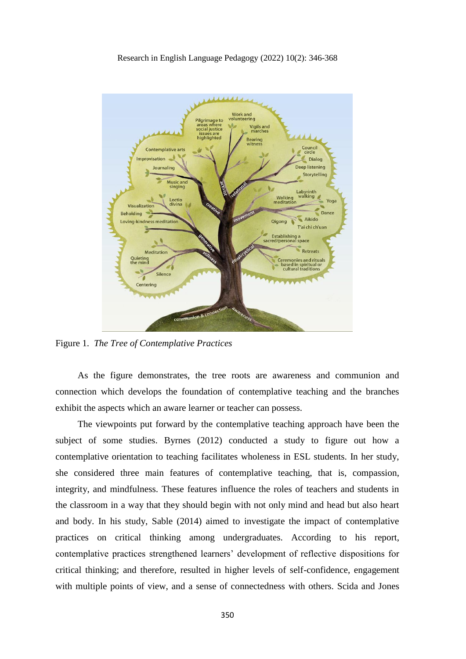

Figure 1. *The Tree of Contemplative Practices*

As the figure demonstrates, the tree roots are awareness and communion and connection which develops the foundation of contemplative teaching and the branches exhibit the aspects which an aware learner or teacher can possess.

The viewpoints put forward by the contemplative teaching approach have been the subject of some studies. Byrnes (2012) conducted a study to figure out how a contemplative orientation to teaching facilitates wholeness in ESL students. In her study, she considered three main features of contemplative teaching, that is, compassion, integrity, and mindfulness. These features influence the roles of teachers and students in the classroom in a way that they should begin with not only mind and head but also heart and body. In his study, Sable (2014) aimed to investigate the impact of contemplative practices on critical thinking among undergraduates. According to his report, contemplative practices strengthened learners' development of reflective dispositions for critical thinking; and therefore, resulted in higher levels of self-confidence, engagement with multiple points of view, and a sense of connectedness with others. Scida and Jones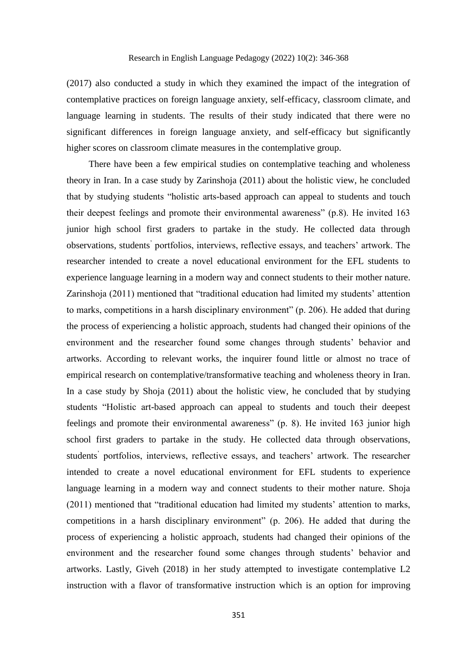(2017) also conducted a study in which they examined the impact of the integration of contemplative practices on foreign language anxiety, self-efficacy, classroom climate, and language learning in students. The results of their study indicated that there were no significant differences in foreign language anxiety, and self-efficacy but significantly higher scores on classroom climate measures in the contemplative group.

There have been a few empirical studies on contemplative teaching and wholeness theory in Iran. In a case study by Zarinshoja (2011) about the holistic view, he concluded that by studying students "holistic arts-based approach can appeal to students and touch their deepest feelings and promote their environmental awareness" (p.8). He invited 163 junior high school first graders to partake in the study. He collected data through observations, students' portfolios, interviews, reflective essays, and teachers' artwork. The researcher intended to create a novel educational environment for the EFL students to experience language learning in a modern way and connect students to their mother nature. Zarinshoja (2011) mentioned that "traditional education had limited my students' attention to marks, competitions in a harsh disciplinary environment" (p. 206). He added that during the process of experiencing a holistic approach, students had changed their opinions of the environment and the researcher found some changes through students' behavior and artworks. According to relevant works, the inquirer found little or almost no trace of empirical research on contemplative/transformative teaching and wholeness theory in Iran. In a case study by Shoja (2011) about the holistic view, he concluded that by studying students "Holistic art-based approach can appeal to students and touch their deepest feelings and promote their environmental awareness" (p. 8). He invited 163 junior high school first graders to partake in the study. He collected data through observations, students' portfolios, interviews, reflective essays, and teachers' artwork. The researcher intended to create a novel educational environment for EFL students to experience language learning in a modern way and connect students to their mother nature. Shoja (2011) mentioned that "traditional education had limited my students' attention to marks, competitions in a harsh disciplinary environment" (p. 206). He added that during the process of experiencing a holistic approach, students had changed their opinions of the environment and the researcher found some changes through students' behavior and artworks. Lastly, Giveh (2018) in her study attempted to investigate contemplative L2 instruction with a flavor of transformative instruction which is an option for improving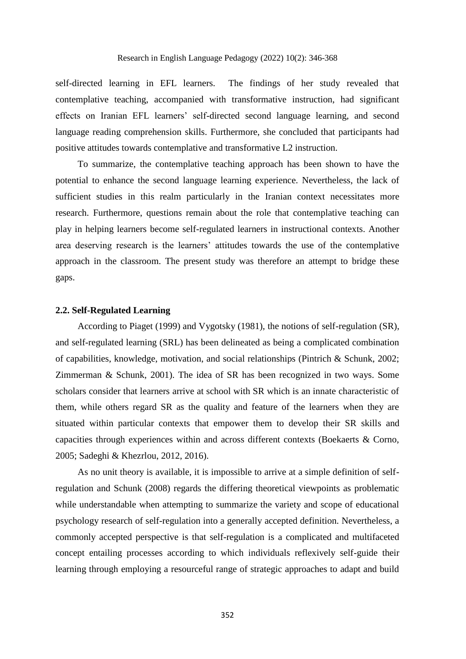self-directed learning in EFL learners. The findings of her study revealed that contemplative teaching, accompanied with transformative instruction, had significant effects on Iranian EFL learners' self-directed second language learning, and second language reading comprehension skills. Furthermore, she concluded that participants had positive attitudes towards contemplative and transformative L2 instruction.

To summarize, the contemplative teaching approach has been shown to have the potential to enhance the second language learning experience. Nevertheless, the lack of sufficient studies in this realm particularly in the Iranian context necessitates more research. Furthermore, questions remain about the role that contemplative teaching can play in helping learners become self-regulated learners in instructional contexts. Another area deserving research is the learners' attitudes towards the use of the contemplative approach in the classroom. The present study was therefore an attempt to bridge these gaps.

#### **2.2. Self-Regulated Learning**

According to Piaget (1999) and Vygotsky (1981), the notions of self-regulation (SR), and self-regulated learning (SRL) has been delineated as being a complicated combination of capabilities, knowledge, motivation, and social relationships (Pintrich & Schunk, 2002; Zimmerman & Schunk, 2001). The idea of SR has been recognized in two ways. Some scholars consider that learners arrive at school with SR which is an innate characteristic of them, while others regard SR as the quality and feature of the learners when they are situated within particular contexts that empower them to develop their SR skills and capacities through experiences within and across different contexts (Boekaerts & Corno, 2005; Sadeghi & Khezrlou, 2012, 2016).

As no unit theory is available, it is impossible to arrive at a simple definition of selfregulation and Schunk (2008) regards the differing theoretical viewpoints as problematic while understandable when attempting to summarize the variety and scope of educational psychology research of self-regulation into a generally accepted definition. Nevertheless, a commonly accepted perspective is that self-regulation is a complicated and multifaceted concept entailing processes according to which individuals reflexively self-guide their learning through employing a resourceful range of strategic approaches to adapt and build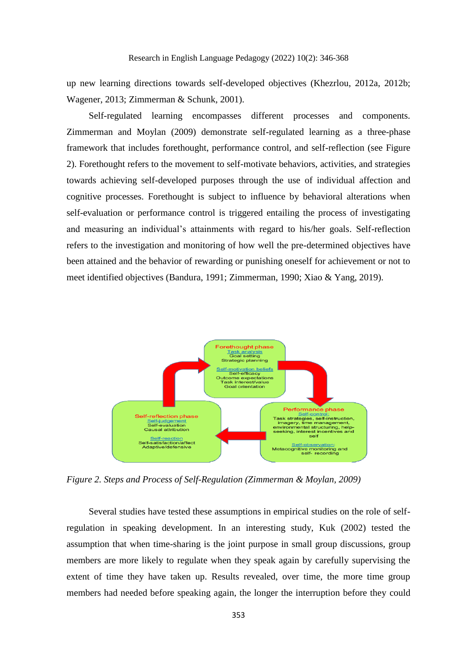up new learning directions towards self-developed objectives (Khezrlou, 2012a, 2012b; Wagener, 2013; Zimmerman & Schunk, 2001).

Self-regulated learning encompasses different processes and components. Zimmerman and Moylan (2009) demonstrate self-regulated learning as a three-phase framework that includes forethought, performance control, and self-reflection (see Figure 2). Forethought refers to the movement to self-motivate behaviors, activities, and strategies towards achieving self-developed purposes through the use of individual affection and cognitive processes. Forethought is subject to influence by behavioral alterations when self-evaluation or performance control is triggered entailing the process of investigating and measuring an individual's attainments with regard to his/her goals. Self-reflection refers to the investigation and monitoring of how well the pre-determined objectives have been attained and the behavior of rewarding or punishing oneself for achievement or not to meet identified objectives (Bandura, 1991; Zimmerman, 1990; Xiao & Yang, 2019).



*Figure 2. Steps and Process of Self-Regulation (Zimmerman & Moylan, 2009)*

Several studies have tested these assumptions in empirical studies on the role of selfregulation in speaking development. In an interesting study, Kuk (2002) tested the assumption that when time-sharing is the joint purpose in small group discussions, group members are more likely to regulate when they speak again by carefully supervising the extent of time they have taken up. Results revealed, over time, the more time group members had needed before speaking again, the longer the interruption before they could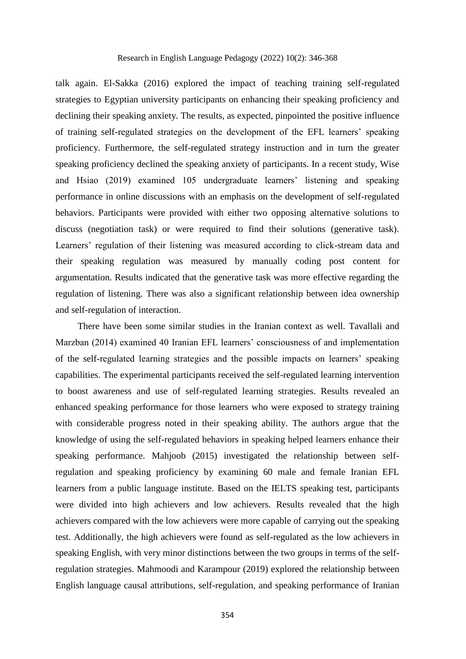## Research in English Language Pedagogy (2022) 10(2): 346-368

talk again. El-Sakka (2016) explored the impact of teaching training self-regulated strategies to Egyptian university participants on enhancing their speaking proficiency and declining their speaking anxiety. The results, as expected, pinpointed the positive influence of training self-regulated strategies on the development of the EFL learners' speaking proficiency. Furthermore, the self-regulated strategy instruction and in turn the greater speaking proficiency declined the speaking anxiety of participants. In a recent study, Wise and Hsiao (2019) examined 105 undergraduate learners' listening and speaking performance in online discussions with an emphasis on the development of self-regulated behaviors. Participants were provided with either two opposing alternative solutions to discuss (negotiation task) or were required to find their solutions (generative task). Learners' regulation of their listening was measured according to click-stream data and their speaking regulation was measured by manually coding post content for argumentation. Results indicated that the generative task was more effective regarding the regulation of listening. There was also a significant relationship between idea ownership and self-regulation of interaction.

There have been some similar studies in the Iranian context as well. Tavallali and Marzban (2014) examined 40 Iranian EFL learners' consciousness of and implementation of the self-regulated learning strategies and the possible impacts on learners' speaking capabilities. The experimental participants received the self-regulated learning intervention to boost awareness and use of self-regulated learning strategies. Results revealed an enhanced speaking performance for those learners who were exposed to strategy training with considerable progress noted in their speaking ability. The authors argue that the knowledge of using the self-regulated behaviors in speaking helped learners enhance their speaking performance. Mahjoob (2015) investigated the relationship between selfregulation and speaking proficiency by examining 60 male and female Iranian EFL learners from a public language institute. Based on the IELTS speaking test, participants were divided into high achievers and low achievers. Results revealed that the high achievers compared with the low achievers were more capable of carrying out the speaking test. Additionally, the high achievers were found as self-regulated as the low achievers in speaking English, with very minor distinctions between the two groups in terms of the selfregulation strategies. Mahmoodi and Karampour (2019) explored the relationship between English language causal attributions, self-regulation, and speaking performance of Iranian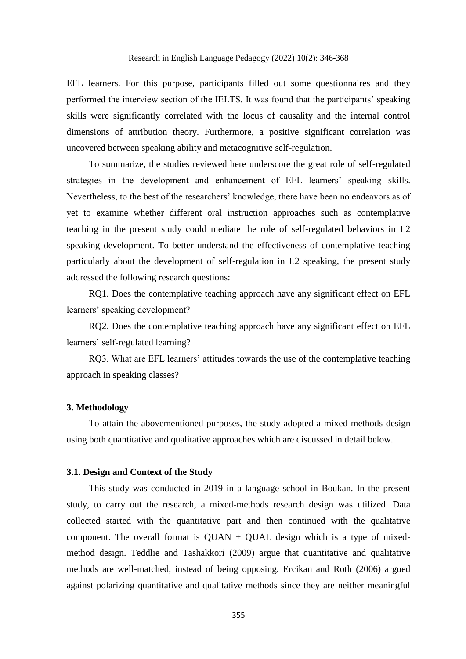EFL learners. For this purpose, participants filled out some questionnaires and they performed the interview section of the IELTS. It was found that the participants' speaking skills were significantly correlated with the locus of causality and the internal control dimensions of attribution theory. Furthermore, a positive significant correlation was uncovered between speaking ability and metacognitive self-regulation.

To summarize, the studies reviewed here underscore the great role of self-regulated strategies in the development and enhancement of EFL learners' speaking skills. Nevertheless, to the best of the researchers' knowledge, there have been no endeavors as of yet to examine whether different oral instruction approaches such as contemplative teaching in the present study could mediate the role of self-regulated behaviors in L2 speaking development. To better understand the effectiveness of contemplative teaching particularly about the development of self-regulation in L2 speaking, the present study addressed the following research questions:

RQ1. Does the contemplative teaching approach have any significant effect on EFL learners' speaking development?

RQ2. Does the contemplative teaching approach have any significant effect on EFL learners' self-regulated learning?

RQ3. What are EFL learners' attitudes towards the use of the contemplative teaching approach in speaking classes?

## **3. Methodology**

To attain the abovementioned purposes, the study adopted a mixed-methods design using both quantitative and qualitative approaches which are discussed in detail below.

## **3.1. Design and Context of the Study**

This study was conducted in 2019 in a language school in Boukan. In the present study, to carry out the research, a mixed-methods research design was utilized. Data collected started with the quantitative part and then continued with the qualitative component. The overall format is  $QUAN + QUAL$  design which is a type of mixedmethod design. Teddlie and Tashakkori (2009) argue that quantitative and qualitative methods are well-matched, instead of being opposing. Ercikan and Roth (2006) argued against polarizing quantitative and qualitative methods since they are neither meaningful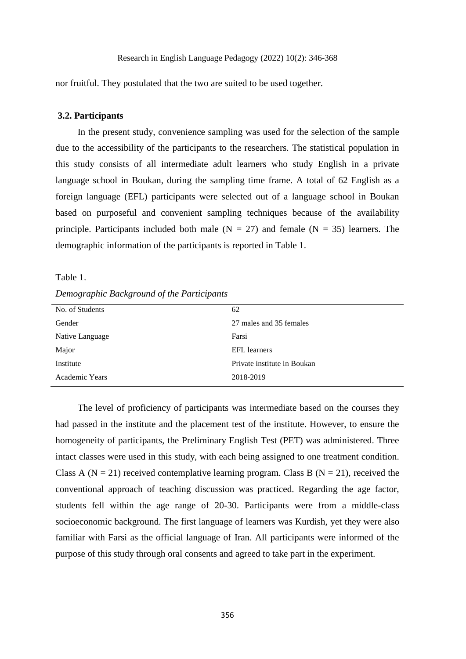nor fruitful. They postulated that the two are suited to be used together.

# **3.2. Participants**

In the present study, convenience sampling was used for the selection of the sample due to the accessibility of the participants to the researchers. The statistical population in this study consists of all intermediate adult learners who study English in a private language school in Boukan, during the sampling time frame. A total of 62 English as a foreign language (EFL) participants were selected out of a language school in Boukan based on purposeful and convenient sampling techniques because of the availability principle. Participants included both male  $(N = 27)$  and female  $(N = 35)$  learners. The demographic information of the participants is reported in Table 1.

Table 1.

*Demographic Background of the Participants*

| No. of Students | 62                          |
|-----------------|-----------------------------|
| Gender          | 27 males and 35 females     |
| Native Language | Farsi                       |
| Major           | <b>EFL</b> learners         |
| Institute       | Private institute in Boukan |
| Academic Years  | 2018-2019                   |

The level of proficiency of participants was intermediate based on the courses they had passed in the institute and the placement test of the institute. However, to ensure the homogeneity of participants, the Preliminary English Test (PET) was administered. Three intact classes were used in this study, with each being assigned to one treatment condition. Class A ( $N = 21$ ) received contemplative learning program. Class B ( $N = 21$ ), received the conventional approach of teaching discussion was practiced. Regarding the age factor, students fell within the age range of 20-30. Participants were from a middle-class socioeconomic background. The first language of learners was Kurdish, yet they were also familiar with Farsi as the official language of Iran. All participants were informed of the purpose of this study through oral consents and agreed to take part in the experiment.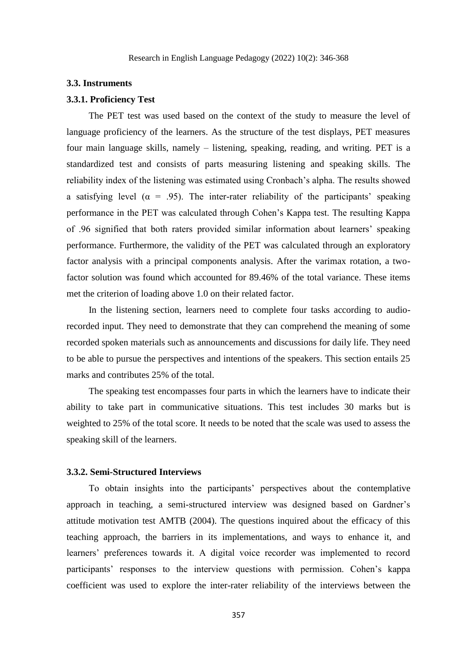#### **3.3. Instruments**

# **3.3.1. Proficiency Test**

The PET test was used based on the context of the study to measure the level of language proficiency of the learners. As the structure of the test displays, PET measures four main language skills, namely – listening, speaking, reading, and writing. PET is a standardized test and consists of parts measuring listening and speaking skills. The reliability index of the listening was estimated using Cronbach's alpha. The results showed a satisfying level ( $\alpha$  = .95). The inter-rater reliability of the participants' speaking performance in the PET was calculated through Cohen's Kappa test. The resulting Kappa of .96 signified that both raters provided similar information about learners' speaking performance. Furthermore, the validity of the PET was calculated through an exploratory factor analysis with a principal components analysis. After the varimax rotation, a twofactor solution was found which accounted for 89.46% of the total variance. These items met the criterion of loading above 1.0 on their related factor.

In the listening section, learners need to complete four tasks according to audiorecorded input. They need to demonstrate that they can comprehend the meaning of some recorded spoken materials such as announcements and discussions for daily life. They need to be able to pursue the perspectives and intentions of the speakers. This section entails 25 marks and contributes 25% of the total.

The speaking test encompasses four parts in which the learners have to indicate their ability to take part in communicative situations. This test includes 30 marks but is weighted to 25% of the total score. It needs to be noted that the scale was used to assess the speaking skill of the learners.

#### **3.3.2. Semi-Structured Interviews**

To obtain insights into the participants' perspectives about the contemplative approach in teaching, a semi-structured interview was designed based on Gardner's attitude motivation test AMTB (2004). The questions inquired about the efficacy of this teaching approach, the barriers in its implementations, and ways to enhance it, and learners' preferences towards it. A digital voice recorder was implemented to record participants' responses to the interview questions with permission. Cohen's kappa coefficient was used to explore the inter-rater reliability of the interviews between the

357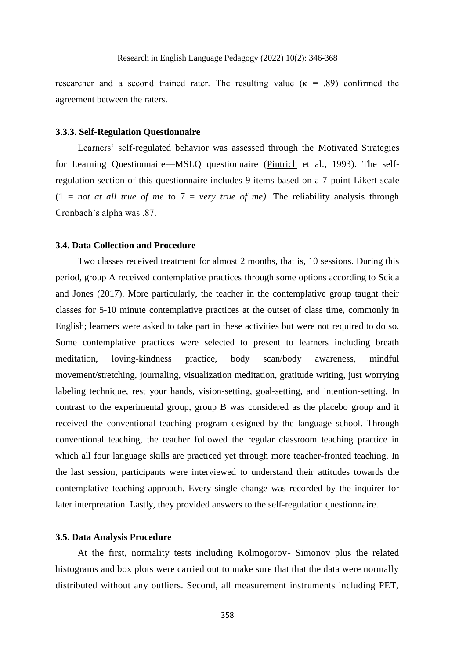researcher and a second trained rater. The resulting value ( $\kappa$  = .89) confirmed the agreement between the raters.

### **3.3.3. Self-Regulation Questionnaire**

Learners' self-regulated behavior was assessed through the Motivated Strategies for Learning Questionnaire—MSLQ questionnaire [\(Pintrich](https://journals.sagepub.com/doi/10.1177/0013164493053003024) et al., 1993). The selfregulation section of this questionnaire includes 9 items based on a 7-point Likert scale  $(1 = not at all true of me to 7 = very true of me)$ . The reliability analysis through Cronbach's alpha was .87.

# **3.4. Data Collection and Procedure**

Two classes received treatment for almost 2 months, that is, 10 sessions. During this period, group A received contemplative practices through some options according to Scida and Jones (2017). More particularly, the teacher in the contemplative group taught their classes for 5-10 minute contemplative practices at the outset of class time, commonly in English; learners were asked to take part in these activities but were not required to do so. Some contemplative practices were selected to present to learners including breath meditation, loving-kindness practice, body scan/body awareness, mindful movement/stretching, journaling, visualization meditation, gratitude writing, just worrying labeling technique, rest your hands, vision-setting, goal-setting, and intention-setting. In contrast to the experimental group, group B was considered as the placebo group and it received the conventional teaching program designed by the language school. Through conventional teaching, the teacher followed the regular classroom teaching practice in which all four language skills are practiced yet through more teacher-fronted teaching. In the last session, participants were interviewed to understand their attitudes towards the contemplative teaching approach. Every single change was recorded by the inquirer for later interpretation. Lastly, they provided answers to the self-regulation questionnaire.

#### **3.5. Data Analysis Procedure**

At the first, normality tests including Kolmogorov- Simonov plus the related histograms and box plots were carried out to make sure that that the data were normally distributed without any outliers. Second, all measurement instruments including PET,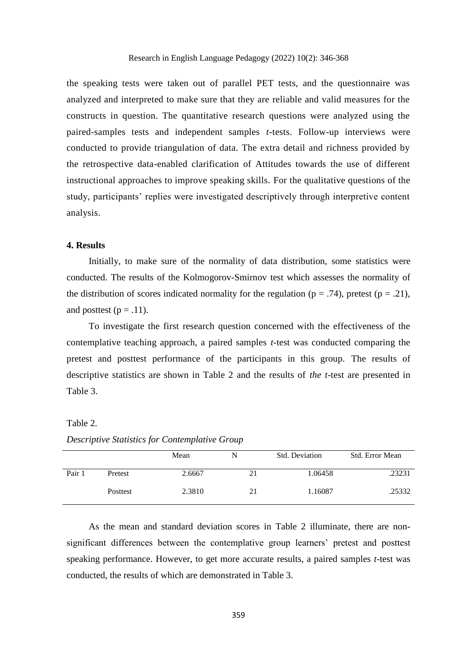the speaking tests were taken out of parallel PET tests, and the questionnaire was analyzed and interpreted to make sure that they are reliable and valid measures for the constructs in question. The quantitative research questions were analyzed using the paired-samples tests and independent samples *t*-tests. Follow-up interviews were conducted to provide triangulation of data. The extra detail and richness provided by the retrospective data-enabled clarification of Attitudes towards the use of different instructional approaches to improve speaking skills. For the qualitative questions of the study, participants' replies were investigated descriptively through interpretive content analysis.

# **4. Results**

Initially, to make sure of the normality of data distribution, some statistics were conducted. The results of the Kolmogorov-Smirnov test which assesses the normality of the distribution of scores indicated normality for the regulation ( $p = .74$ ), pretest ( $p = .21$ ), and posttest  $(p=.11)$ .

To investigate the first research question concerned with the effectiveness of the contemplative teaching approach, a paired samples *t*-test was conducted comparing the pretest and posttest performance of the participants in this group. The results of descriptive statistics are shown in Table 2 and the results of *the t*-test are presented in Table 3.

# Table 2.

Mean N Std. Deviation Std. Error Mean Pair 1 Pretest 2.6667 21 1.06458 23231 Posttest 2.3810 21 1.16087 25332

*Descriptive Statistics for Contemplative Group*

As the mean and standard deviation scores in Table 2 illuminate, there are nonsignificant differences between the contemplative group learners' pretest and posttest speaking performance. However, to get more accurate results, a paired samples *t*-test was conducted, the results of which are demonstrated in Table 3.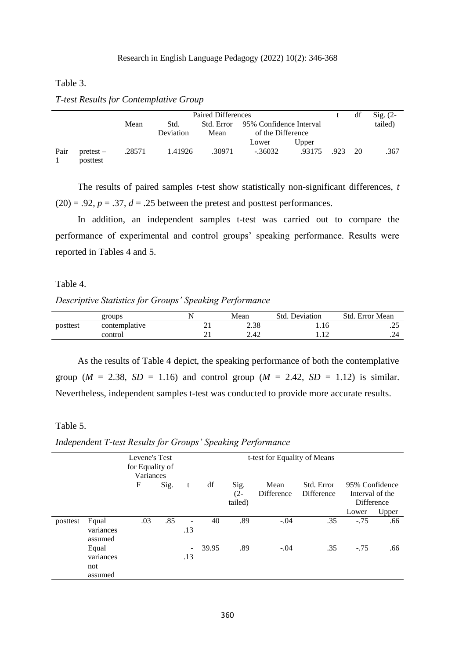Table 3.

|      | Paired Differences |        |                                               |        |                   |        |      | df | $Sig. (2-$ |
|------|--------------------|--------|-----------------------------------------------|--------|-------------------|--------|------|----|------------|
|      |                    | Mean   | 95% Confidence Interval<br>Std. Error<br>Std. |        |                   |        |      |    | tailed)    |
|      |                    |        | Deviation                                     | Mean   | of the Difference |        |      |    |            |
|      |                    |        |                                               |        | Lower             | Upper  |      |    |            |
| Pair | pretest –          | .28571 | 1.41926                                       | .30971 | $-.36032$         | .93175 | .923 | 20 | .367       |
|      | posttest           |        |                                               |        |                   |        |      |    |            |

*T-test Results for Contemplative Group*

The results of paired samples *t*-test show statistically non-significant differences, *t*  $(20) = .92$ ,  $p = .37$ ,  $d = .25$  between the pretest and posttest performances.

In addition, an independent samples t-test was carried out to compare the performance of experimental and control groups' speaking performance. Results were reported in Tables 4 and 5.

## Table 4.

#### *Descriptive Statistics for Groups' Speaking Performance*

|          | groups        |   | Mean | <b>Std. Deviation</b> | Std. Error Mean |
|----------|---------------|---|------|-----------------------|-----------------|
| posttest | contemplative |   | 2.38 |                       | ر بے ا          |
|          | control       | ∸ | 2.42 | .14                   | $-1$            |

As the results of Table 4 depict, the speaking performance of both the contemplative group ( $M = 2.38$ ,  $SD = 1.16$ ) and control group ( $M = 2.42$ ,  $SD = 1.12$ ) is similar. Nevertheless, independent samples t-test was conducted to provide more accurate results.

# Table 5.

*Independent T-test Results for Groups' Speaking Performance*

|          |                                      | Levene's Test<br>for Equality of<br>Variances |      |     |       | t-test for Equality of Means |                    |                          |                                                 |       |
|----------|--------------------------------------|-----------------------------------------------|------|-----|-------|------------------------------|--------------------|--------------------------|-------------------------------------------------|-------|
|          |                                      | F                                             | Sig. | t   | df    | Sig.<br>$(2 -$<br>tailed)    | Mean<br>Difference | Std. Error<br>Difference | 95% Confidence<br>Interval of the<br>Difference |       |
|          |                                      |                                               |      |     |       |                              |                    |                          | Lower                                           | Upper |
| posttest | Equal<br>variances<br>assumed        | .03                                           | .85  | .13 | 40    | .89                          | $-.04$             | .35                      | $-.75$                                          | .66   |
|          | Equal<br>variances<br>not<br>assumed |                                               |      | .13 | 39.95 | .89                          | $-.04$             | .35                      | $-.75$                                          | .66   |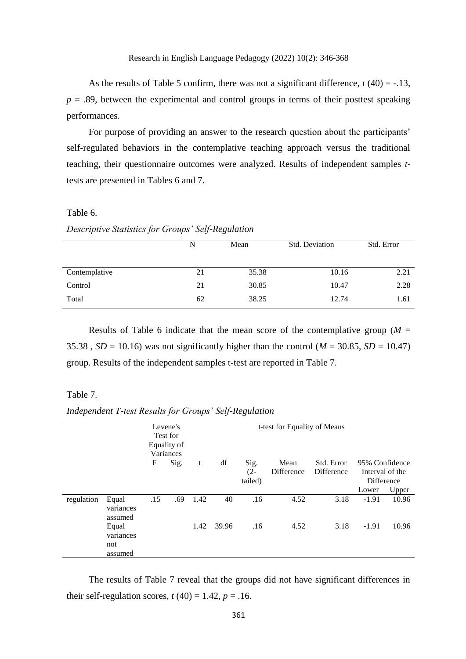As the results of Table 5 confirm, there was not a significant difference,  $t(40) = -13$ ,  $p = .89$ , between the experimental and control groups in terms of their posttest speaking performances.

For purpose of providing an answer to the research question about the participants' self-regulated behaviors in the contemplative teaching approach versus the traditional teaching, their questionnaire outcomes were analyzed. Results of independent samples *t*tests are presented in Tables 6 and 7.

#### Table 6.

*Descriptive Statistics for Groups' Self-Regulation* 

|               | N  | Mean  | Std. Deviation | Std. Error |
|---------------|----|-------|----------------|------------|
| Contemplative | 21 | 35.38 | 10.16          | 2.21       |
| Control       | 21 | 30.85 | 10.47          | 2.28       |
| Total         | 62 | 38.25 | 12.74          | 1.61       |

Results of Table 6 indicate that the mean score of the contemplative group ( $M =$ 35.38,  $SD = 10.16$ ) was not significantly higher than the control ( $M = 30.85$ ,  $SD = 10.47$ ) group. Results of the independent samples t-test are reported in Table 7.

## Table 7.

*Independent T-test Results for Groups' Self-Regulation*

|            | Levene's  |     |             |      |       | t-test for Equality of Means |                   |            |                |                 |
|------------|-----------|-----|-------------|------|-------|------------------------------|-------------------|------------|----------------|-----------------|
|            |           |     | Test for    |      |       |                              |                   |            |                |                 |
|            |           |     | Equality of |      |       |                              |                   |            |                |                 |
|            |           |     | Variances   |      |       |                              |                   |            |                |                 |
|            |           | F   | Sig.        | t    | df    | Sig.                         | Mean              | Std. Error | 95% Confidence |                 |
|            |           |     |             |      |       | $(2 -$                       | <b>Difference</b> | Difference |                | Interval of the |
|            |           |     |             |      |       | tailed)                      |                   |            | Difference     |                 |
|            |           |     |             |      |       |                              |                   |            | Lower          | Upper           |
| regulation | Equal     | .15 | .69         | 1.42 | 40    | .16                          | 4.52              | 3.18       | $-1.91$        | 10.96           |
|            | variances |     |             |      |       |                              |                   |            |                |                 |
|            | assumed   |     |             |      |       |                              |                   |            |                |                 |
|            | Equal     |     |             | 1.42 | 39.96 | .16                          | 4.52              | 3.18       | $-1.91$        | 10.96           |
|            | variances |     |             |      |       |                              |                   |            |                |                 |
|            | not       |     |             |      |       |                              |                   |            |                |                 |
|            | assumed   |     |             |      |       |                              |                   |            |                |                 |

The results of Table 7 reveal that the groups did not have significant differences in their self-regulation scores,  $t(40) = 1.42$ ,  $p = .16$ .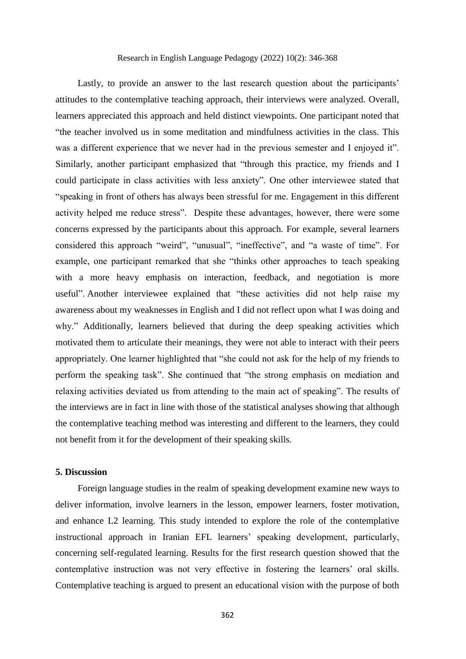## Research in English Language Pedagogy (2022) 10(2): 346-368

Lastly, to provide an answer to the last research question about the participants' attitudes to the contemplative teaching approach, their interviews were analyzed. Overall, learners appreciated this approach and held distinct viewpoints. One participant noted that "the teacher involved us in some meditation and mindfulness activities in the class. This was a different experience that we never had in the previous semester and I enjoyed it". Similarly, another participant emphasized that "through this practice, my friends and I could participate in class activities with less anxiety". One other interviewee stated that "speaking in front of others has always been stressful for me. Engagement in this different activity helped me reduce stress". Despite these advantages, however, there were some concerns expressed by the participants about this approach. For example, several learners considered this approach "weird", "unusual", "ineffective", and "a waste of time". For example, one participant remarked that she "thinks other approaches to teach speaking with a more heavy emphasis on interaction, feedback, and negotiation is more useful". Another interviewee explained that "these activities did not help raise my awareness about my weaknesses in English and I did not reflect upon what I was doing and why." Additionally, learners believed that during the deep speaking activities which motivated them to articulate their meanings, they were not able to interact with their peers appropriately. One learner highlighted that "she could not ask for the help of my friends to perform the speaking task". She continued that "the strong emphasis on mediation and relaxing activities deviated us from attending to the main act of speaking". The results of the interviews are in fact in line with those of the statistical analyses showing that although the contemplative teaching method was interesting and different to the learners, they could not benefit from it for the development of their speaking skills.

# **5. Discussion**

Foreign language studies in the realm of speaking development examine new ways to deliver information, involve learners in the lesson, empower learners, foster motivation, and enhance L2 learning. This study intended to explore the role of the contemplative instructional approach in Iranian EFL learners' speaking development, particularly, concerning self-regulated learning. Results for the first research question showed that the contemplative instruction was not very effective in fostering the learners' oral skills. Contemplative teaching is argued to present an educational vision with the purpose of both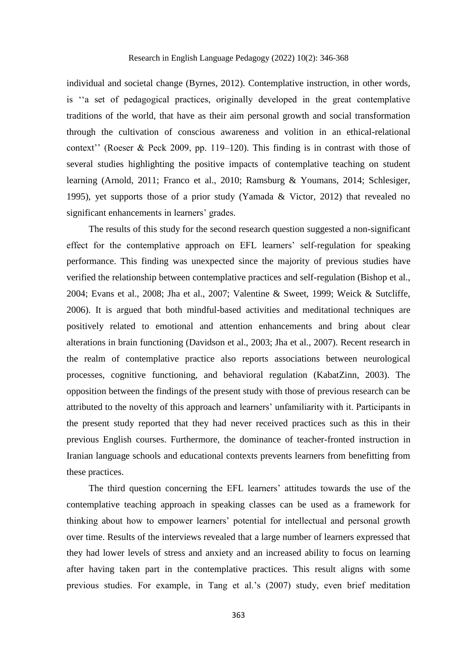individual and societal change (Byrnes, 2012). Contemplative instruction, in other words, is ''a set of pedagogical practices, originally developed in the great contemplative traditions of the world, that have as their aim personal growth and social transformation through the cultivation of conscious awareness and volition in an ethical-relational context'' (Roeser & Peck 2009, pp. 119–120). This finding is in contrast with those of several studies highlighting the positive impacts of contemplative teaching on student learning (Arnold, 2011; Franco et al., 2010; Ramsburg & Youmans, 2014; Schlesiger, 1995), yet supports those of a prior study (Yamada & Victor, 2012) that revealed no significant enhancements in learners' grades.

The results of this study for the second research question suggested a non-significant effect for the contemplative approach on EFL learners' self-regulation for speaking performance. This finding was unexpected since the majority of previous studies have verified the relationship between contemplative practices and self-regulation (Bishop et al., 2004; Evans et al., 2008; Jha et al., 2007; Valentine & Sweet, 1999; Weick & Sutcliffe, 2006). It is argued that both mindful-based activities and meditational techniques are positively related to emotional and attention enhancements and bring about clear alterations in brain functioning (Davidson et al., 2003; Jha et al., 2007). Recent research in the realm of contemplative practice also reports associations between neurological processes, cognitive functioning, and behavioral regulation (KabatZinn, 2003). The opposition between the findings of the present study with those of previous research can be attributed to the novelty of this approach and learners' unfamiliarity with it. Participants in the present study reported that they had never received practices such as this in their previous English courses. Furthermore, the dominance of teacher-fronted instruction in Iranian language schools and educational contexts prevents learners from benefitting from these practices.

The third question concerning the EFL learners' attitudes towards the use of the contemplative teaching approach in speaking classes can be used as a framework for thinking about how to empower learners' potential for intellectual and personal growth over time. Results of the interviews revealed that a large number of learners expressed that they had lower levels of stress and anxiety and an increased ability to focus on learning after having taken part in the contemplative practices. This result aligns with some previous studies. For example, in Tang et al.'s (2007) study, even brief meditation

363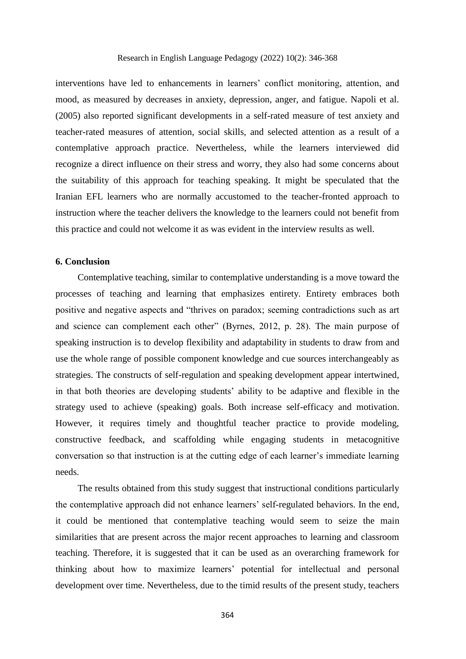interventions have led to enhancements in learners' conflict monitoring, attention, and mood, as measured by decreases in anxiety, depression, anger, and fatigue. Napoli et al. (2005) also reported significant developments in a self-rated measure of test anxiety and teacher-rated measures of attention, social skills, and selected attention as a result of a contemplative approach practice. Nevertheless, while the learners interviewed did recognize a direct influence on their stress and worry, they also had some concerns about the suitability of this approach for teaching speaking. It might be speculated that the Iranian EFL learners who are normally accustomed to the teacher-fronted approach to instruction where the teacher delivers the knowledge to the learners could not benefit from this practice and could not welcome it as was evident in the interview results as well.

## **6. Conclusion**

Contemplative teaching, similar to contemplative understanding is a move toward the processes of teaching and learning that emphasizes entirety. Entirety embraces both positive and negative aspects and "thrives on paradox; seeming contradictions such as art and science can complement each other" (Byrnes, 2012, p. 28). The main purpose of speaking instruction is to develop flexibility and adaptability in students to draw from and use the whole range of possible component knowledge and cue sources interchangeably as strategies. The constructs of self-regulation and speaking development appear intertwined, in that both theories are developing students' ability to be adaptive and flexible in the strategy used to achieve (speaking) goals. Both increase self-efficacy and motivation. However, it requires timely and thoughtful teacher practice to provide modeling, constructive feedback, and scaffolding while engaging students in metacognitive conversation so that instruction is at the cutting edge of each learner's immediate learning needs.

The results obtained from this study suggest that instructional conditions particularly the contemplative approach did not enhance learners' self-regulated behaviors. In the end, it could be mentioned that contemplative teaching would seem to seize the main similarities that are present across the major recent approaches to learning and classroom teaching. Therefore, it is suggested that it can be used as an overarching framework for thinking about how to maximize learners' potential for intellectual and personal development over time. Nevertheless, due to the timid results of the present study, teachers

364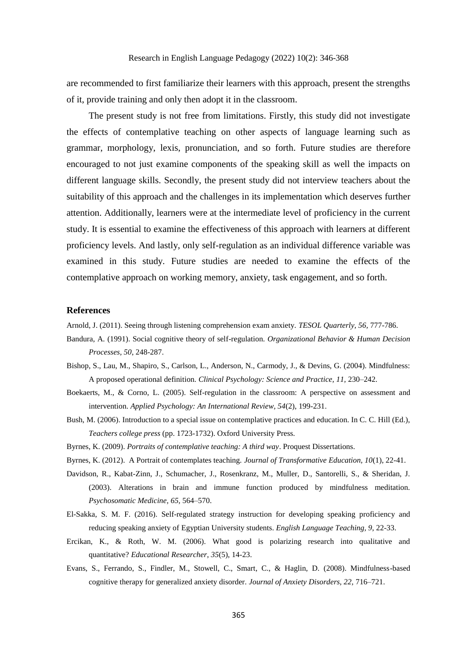are recommended to first familiarize their learners with this approach, present the strengths of it, provide training and only then adopt it in the classroom.

The present study is not free from limitations. Firstly, this study did not investigate the effects of contemplative teaching on other aspects of language learning such as grammar, morphology, lexis, pronunciation, and so forth. Future studies are therefore encouraged to not just examine components of the speaking skill as well the impacts on different language skills. Secondly, the present study did not interview teachers about the suitability of this approach and the challenges in its implementation which deserves further attention. Additionally, learners were at the intermediate level of proficiency in the current study. It is essential to examine the effectiveness of this approach with learners at different proficiency levels. And lastly, only self-regulation as an individual difference variable was examined in this study. Future studies are needed to examine the effects of the contemplative approach on working memory, anxiety, task engagement, and so forth.

#### **References**

Arnold, J. (2011). Seeing through listening comprehension exam anxiety. *TESOL Quarterly, 56,* 777-786.

- Bandura, A. (1991). Social cognitive theory of self-regulation. *Organizational Behavior & Human Decision Processes, 50*, 248-287.
- Bishop, S., Lau, M., Shapiro, S., Carlson, L., Anderson, N., Carmody, J., & Devins, G. (2004). Mindfulness: A proposed operational definition. *Clinical Psychology: Science and Practice, 11,* 230–242.
- Boekaerts, M., & Corno, L. (2005). Self-regulation in the classroom: A perspective on assessment and intervention. *Applied Psychology: An International Review, 54*(2), 199-231.
- Bush, M. (2006). Introduction to a special issue on contemplative practices and education. In C. C. Hill (Ed.), *Teachers college press* (pp. 1723-1732). Oxford University Press.
- Byrnes, K. (2009). *Portraits of contemplative teaching: A third way*. Proquest Dissertations.
- Byrnes, K. (2012). A Portrait of contemplates teaching. *Journal of Transformative Education, 10*(1), 22-41.
- Davidson, R., Kabat-Zinn, J., Schumacher, J., Rosenkranz, M., Muller, D., Santorelli, S., & Sheridan, J. (2003). Alterations in brain and immune function produced by mindfulness meditation. *Psychosomatic Medicine, 65,* 564–570.
- El-Sakka, S. M. F. (2016). Self-regulated strategy instruction for developing speaking proficiency and reducing speaking anxiety of Egyptian University students. *English Language Teaching, 9*, 22-33.
- Ercikan, K., & Roth, W. M. (2006). What good is polarizing research into qualitative and quantitative? *Educational Researcher*, *35*(5), 14-23.
- Evans, S., Ferrando, S., Findler, M., Stowell, C., Smart, C., & Haglin, D. (2008). Mindfulness-based cognitive therapy for generalized anxiety disorder. *Journal of Anxiety Disorders, 22,* 716–721.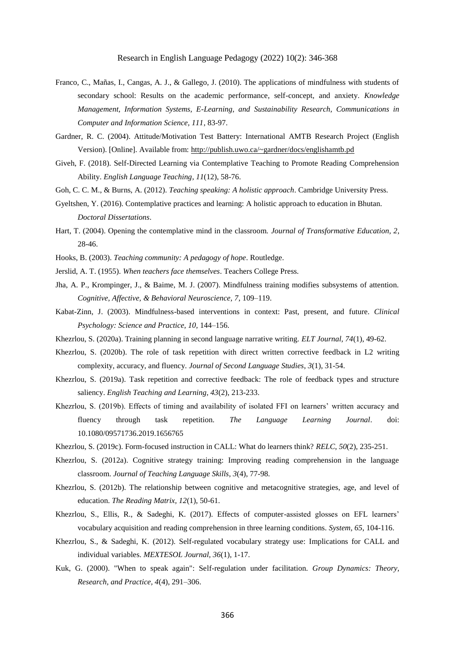- Franco, C., Mañas, I., Cangas, A. J., & Gallego, J. (2010). The applications of mindfulness with students of secondary school: Results on the academic performance, self-concept, and anxiety. *Knowledge Management, Information Systems, E-Learning, and Sustainability Research, Communications in Computer and Information Science, 111*, 83-97.
- Gardner, R. C. (2004). Attitude/Motivation Test Battery: International AMTB Research Project (English Version). [Online]. Available from:<http://publish.uwo.ca/~gardner/docs/englishamtb.pd>
- Giveh, F. (2018). Self-Directed Learning via Contemplative Teaching to Promote Reading Comprehension Ability. *English Language Teaching*, *11*(12), 58-76.
- Goh, C. C. M., & Burns, A. (2012). *Teaching speaking: A holistic approach*. Cambridge University Press.
- Gyeltshen, Y. (2016). Contemplative practices and learning: A holistic approach to education in Bhutan. *Doctoral Dissertations*.
- Hart, T. (2004). Opening the contemplative mind in the classroom. *Journal of Transformative Education, 2*, 28-46.
- Hooks, B. (2003). *Teaching community: A pedagogy of hope*. Routledge.
- Jerslid, A. T. (1955). *When teachers face themselves*. Teachers College Press.
- Jha, A. P., Krompinger, J., & Baime, M. J. (2007). Mindfulness training modifies subsystems of attention. *Cognitive, Affective, & Behavioral Neuroscience, 7*, 109–119.
- Kabat-Zinn, J. (2003). Mindfulness-based interventions in context: Past, present, and future. *Clinical Psychology: Science and Practice, 10,* 144–156.
- Khezrlou, S. (2020a). Training planning in second language narrative writing. *ELT Journal, 74*(1), 49-62.
- Khezrlou, S. (2020b). The role of task repetition with direct written corrective feedback in L2 writing complexity, accuracy, and fluency. *Journal of Second Language Studies*, *3*(1), 31-54.
- Khezrlou, S. (2019a). Task repetition and corrective feedback: The role of feedback types and structure saliency. *English Teaching and Learning, 43*(2), 213-233.
- Khezrlou, S. (2019b). Effects of timing and availability of isolated FFI on learners' written accuracy and fluency through task repetition. *The Language Learning Journal*. doi: 10.1080/09571736.2019.1656765
- Khezrlou, S. (2019c). Form-focused instruction in CALL: What do learners think? *RELC*, *50*(2), 235-251.
- Khezrlou, S. (2012a). Cognitive strategy training: Improving reading comprehension in the language classroom. *Journal of Teaching Language Skills*, *3*(4), 77-98.
- Khezrlou, S. (2012b). The relationship between cognitive and metacognitive strategies, age, and level of education. *The Reading Matrix, 12*(1), 50-61.
- Khezrlou, S., Ellis, R., & Sadeghi, K. (2017). Effects of computer-assisted glosses on EFL learners' vocabulary acquisition and reading comprehension in three learning conditions. *System, 65*, 104-116.
- Khezrlou, S., & Sadeghi, K. (2012). Self-regulated vocabulary strategy use: Implications for CALL and individual variables. *MEXTESOL Journal, 36*(1), 1-17.
- Kuk, G. (2000). "When to speak again": Self-regulation under facilitation. *Group Dynamics: Theory, Research, and Practice, 4*(4), 291–306.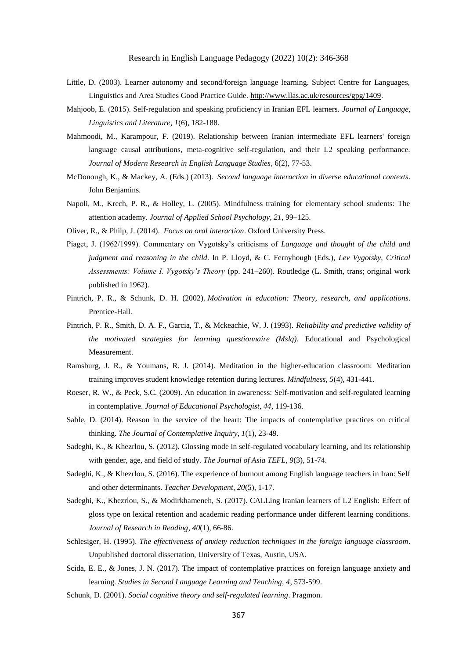- Little, D. (2003). Learner autonomy and second/foreign language learning. Subject Centre for Languages, Linguistics and Area Studies Good Practice Guide. [http://www.llas.ac.uk/resources/gpg/1409.](http://www.llas.ac.uk/resources/gpg/1409)
- Mahjoob, E. (2015). Self-regulation and speaking proficiency in Iranian EFL learners. *Journal of Language, Linguistics and Literature, 1*(6), 182-188.
- Mahmoodi, M., Karampour, F. (2019). Relationship between Iranian intermediate EFL learners' foreign language causal attributions, meta-cognitive self-regulation, and their L2 speaking performance. *Journal of Modern Research in English Language Studies*, 6(2), 77-53.
- McDonough, K., & Mackey, A. (Eds.) (2013). *Second language interaction in diverse educational contexts*. John Benjamins.
- Napoli, M., Krech, P. R., & Holley, L. (2005). Mindfulness training for elementary school students: The attention academy. *Journal of Applied School Psychology, 21*, 99–125.
- Oliver, R., & Philp, J. (2014). *Focus on oral interaction*. Oxford University Press.
- Piaget, J. (1962/1999). Commentary on Vygotsky's criticisms of *Language and thought of the child and judgment and reasoning in the child*. In P. Lloyd, & C. Fernyhough (Eds.), *Lev Vygotsky, Critical Assessments: Volume I. Vygotsky's Theory* (pp. 241–260). Routledge (L. Smith, trans; original work published in 1962).
- Pintrich, P. R., & Schunk, D. H. (2002). *Motivation in education: Theory, research, and applications*. Prentice-Hall.
- Pintrich, P. R., Smith, D. A. F., Garcia, T., & Mckeachie, W. J. (1993). *Reliability and predictive validity of the motivated strategies for learning questionnaire (Mslq).* Educational and Psychological Measurement.
- Ramsburg, J. R., & Youmans, R. J. (2014). Meditation in the higher-education classroom: Meditation training improves student knowledge retention during lectures. *Mindfulness, 5*(4), 431-441.
- Roeser, R. W., & Peck, S.C. (2009). An education in awareness: Self-motivation and self-regulated learning in contemplative. *Journal of Educational Psychologist, 44*, 119-136.
- Sable, D. (2014). Reason in the service of the heart: The impacts of contemplative practices on critical thinking. *The Journal of Contemplative Inquiry*, *1*(1), 23-49.
- Sadeghi, K., & Khezrlou, S. (2012). Glossing mode in self-regulated vocabulary learning, and its relationship with gender, age, and field of study. *The Journal of Asia TEFL, 9*(3), 51-74.
- Sadeghi, K., & Khezrlou, S. (2016). The experience of burnout among English language teachers in Iran: Self and other determinants. *Teacher Development, 20*(5), 1-17*.*
- Sadeghi, K., Khezrlou, S., & Modirkhameneh, S. (2017). CALLing Iranian learners of L2 English: Effect of gloss type on lexical retention and academic reading performance under different learning conditions. *Journal of Research in Reading*, *40*(1), 66-86.
- Schlesiger, H. (1995). *The effectiveness of anxiety reduction techniques in the foreign language classroom*. Unpublished doctoral dissertation, University of Texas, Austin, USA.
- Scida, E. E., & Jones, J. N. (2017). The impact of contemplative practices on foreign language anxiety and learning. *Studies in Second Language Learning and Teaching, 4*, 573-599.
- Schunk, D. (2001). *Social cognitive theory and self-regulated learning*. Pragmon.